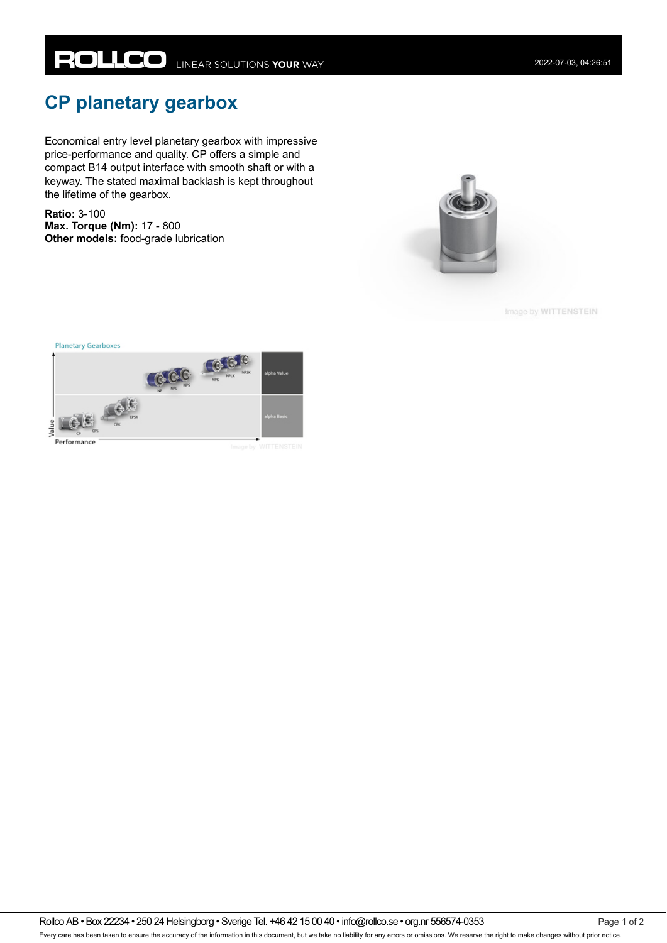## **CP planetary gearbox**

Economical entry level planetary gearbox with impressive price-performance and quality. CP offers a simple and compact B14 output interface with smooth shaft or with a keyway. The stated maximal backlash is kept throughout the lifetime of the gearbox.

**Ratio:** 3-100 **Max. Torque (Nm):** 17 - 800 **Other models:** food-grade lubrication



Image by WITTENSTEIN

**Planetary Gearboxes**